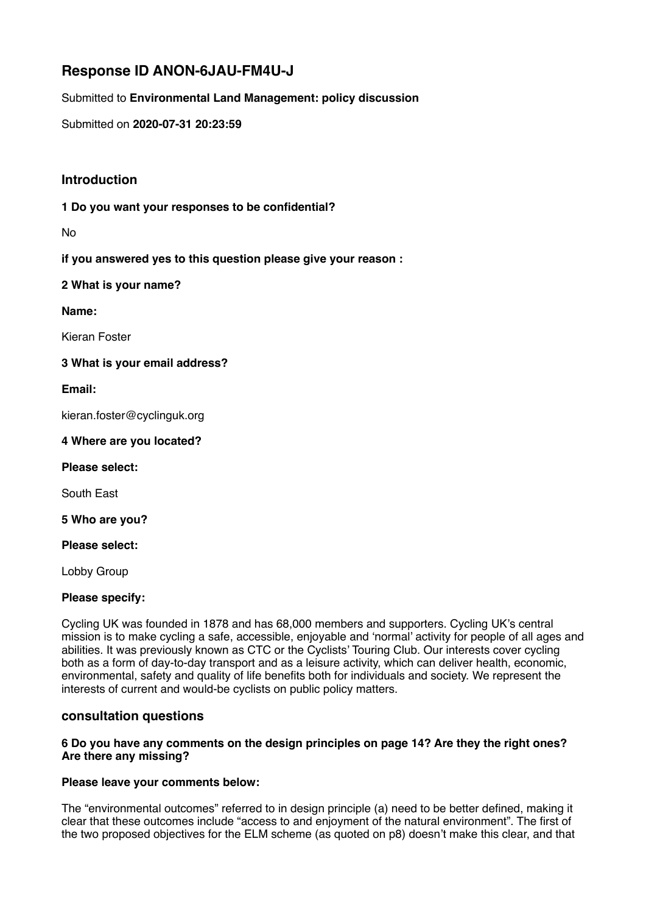# **Response ID ANON-6JAU-FM4U-J**

Submitted to **Environmental Land Management: policy discussion** 

Submitted on **2020-07-31 20:23:59** 

# **Introduction**

**1 Do you want your responses to be confidential?** 

No

**if you answered yes to this question please give your reason :** 

**2 What is your name?** 

**Name:** 

Kieran Foster

**3 What is your email address?** 

**Email:** 

kieran.foster@cyclinguk.org

**4 Where are you located?** 

**Please select:** 

South East

**5 Who are you?** 

**Please select:** 

Lobby Group

## **Please specify:**

Cycling UK was founded in 1878 and has 68,000 members and supporters. Cycling UK's central mission is to make cycling a safe, accessible, enjoyable and 'normal' activity for people of all ages and abilities. It was previously known as CTC or the Cyclists' Touring Club. Our interests cover cycling both as a form of day-to-day transport and as a leisure activity, which can deliver health, economic, environmental, safety and quality of life benefits both for individuals and society. We represent the interests of current and would-be cyclists on public policy matters.

## **consultation questions**

#### **6 Do you have any comments on the design principles on page 14? Are they the right ones? Are there any missing?**

## **Please leave your comments below:**

The "environmental outcomes" referred to in design principle (a) need to be better defined, making it clear that these outcomes include "access to and enjoyment of the natural environment". The first of the two proposed objectives for the ELM scheme (as quoted on p8) doesn't make this clear, and that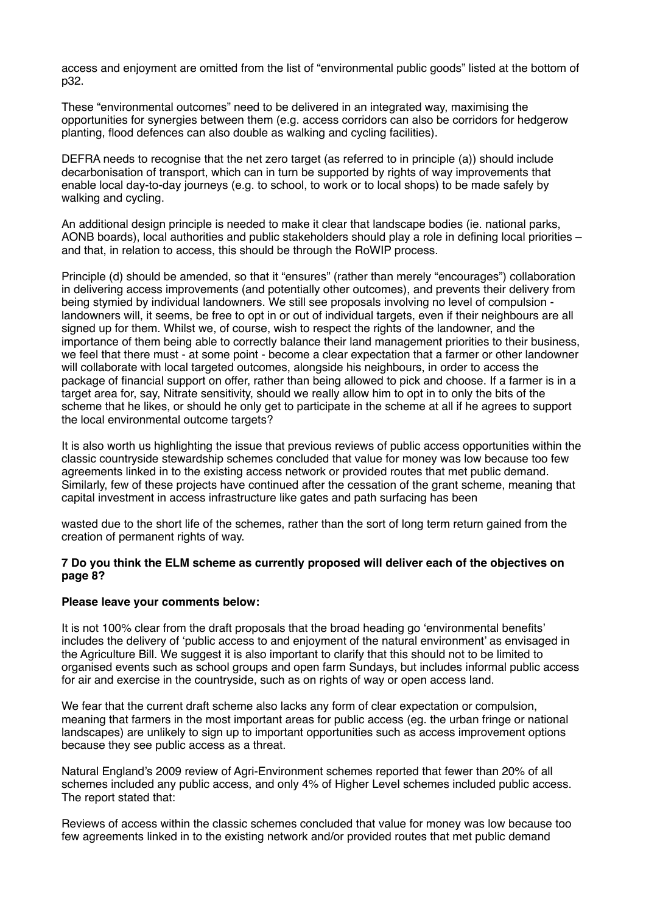access and enjoyment are omitted from the list of "environmental public goods" listed at the bottom of p32.

These "environmental outcomes" need to be delivered in an integrated way, maximising the opportunities for synergies between them (e.g. access corridors can also be corridors for hedgerow planting, flood defences can also double as walking and cycling facilities).

DEFRA needs to recognise that the net zero target (as referred to in principle (a)) should include decarbonisation of transport, which can in turn be supported by rights of way improvements that enable local day-to-day journeys (e.g. to school, to work or to local shops) to be made safely by walking and cycling.

An additional design principle is needed to make it clear that landscape bodies (ie. national parks, AONB boards), local authorities and public stakeholders should play a role in defining local priorities – and that, in relation to access, this should be through the RoWIP process.

Principle (d) should be amended, so that it "ensures" (rather than merely "encourages") collaboration in delivering access improvements (and potentially other outcomes), and prevents their delivery from being stymied by individual landowners. We still see proposals involving no level of compulsion landowners will, it seems, be free to opt in or out of individual targets, even if their neighbours are all signed up for them. Whilst we, of course, wish to respect the rights of the landowner, and the importance of them being able to correctly balance their land management priorities to their business, we feel that there must - at some point - become a clear expectation that a farmer or other landowner will collaborate with local targeted outcomes, alongside his neighbours, in order to access the package of financial support on offer, rather than being allowed to pick and choose. If a farmer is in a target area for, say, Nitrate sensitivity, should we really allow him to opt in to only the bits of the scheme that he likes, or should he only get to participate in the scheme at all if he agrees to support the local environmental outcome targets?

It is also worth us highlighting the issue that previous reviews of public access opportunities within the classic countryside stewardship schemes concluded that value for money was low because too few agreements linked in to the existing access network or provided routes that met public demand. Similarly, few of these projects have continued after the cessation of the grant scheme, meaning that capital investment in access infrastructure like gates and path surfacing has been

wasted due to the short life of the schemes, rather than the sort of long term return gained from the creation of permanent rights of way.

#### **7 Do you think the ELM scheme as currently proposed will deliver each of the objectives on page 8?**

#### **Please leave your comments below:**

It is not 100% clear from the draft proposals that the broad heading go 'environmental benefits' includes the delivery of 'public access to and enjoyment of the natural environment' as envisaged in the Agriculture Bill. We suggest it is also important to clarify that this should not to be limited to organised events such as school groups and open farm Sundays, but includes informal public access for air and exercise in the countryside, such as on rights of way or open access land.

We fear that the current draft scheme also lacks any form of clear expectation or compulsion, meaning that farmers in the most important areas for public access (eg. the urban fringe or national landscapes) are unlikely to sign up to important opportunities such as access improvement options because they see public access as a threat.

Natural England's 2009 review of Agri-Environment schemes reported that fewer than 20% of all schemes included any public access, and only 4% of Higher Level schemes included public access. The report stated that:

Reviews of access within the classic schemes concluded that value for money was low because too few agreements linked in to the existing network and/or provided routes that met public demand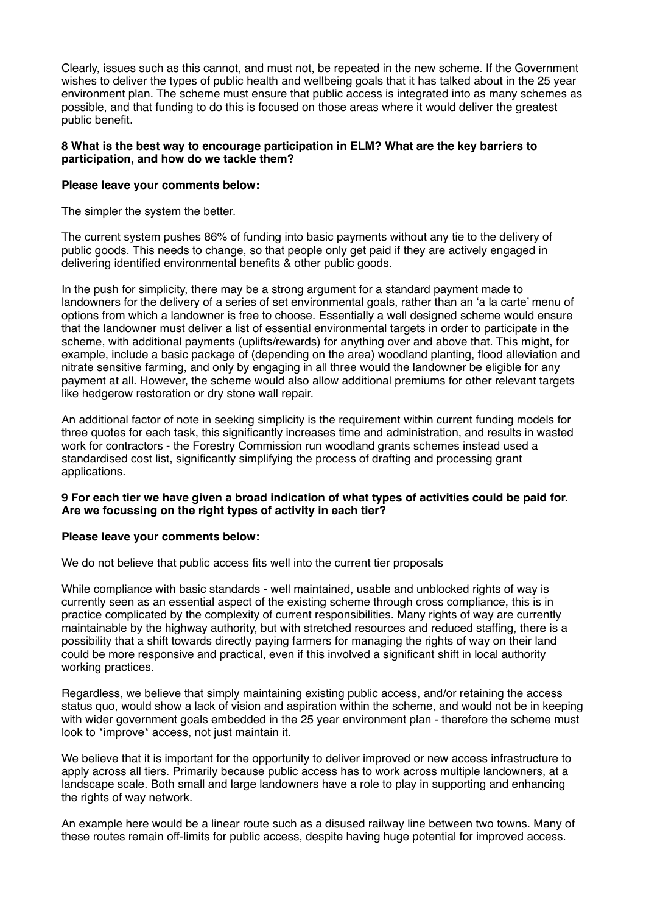Clearly, issues such as this cannot, and must not, be repeated in the new scheme. If the Government wishes to deliver the types of public health and wellbeing goals that it has talked about in the 25 year environment plan. The scheme must ensure that public access is integrated into as many schemes as possible, and that funding to do this is focused on those areas where it would deliver the greatest public benefit.

#### **8 What is the best way to encourage participation in ELM? What are the key barriers to participation, and how do we tackle them?**

#### **Please leave your comments below:**

The simpler the system the better.

The current system pushes 86% of funding into basic payments without any tie to the delivery of public goods. This needs to change, so that people only get paid if they are actively engaged in delivering identified environmental benefits & other public goods.

In the push for simplicity, there may be a strong argument for a standard payment made to landowners for the delivery of a series of set environmental goals, rather than an 'a la carte' menu of options from which a landowner is free to choose. Essentially a well designed scheme would ensure that the landowner must deliver a list of essential environmental targets in order to participate in the scheme, with additional payments (uplifts/rewards) for anything over and above that. This might, for example, include a basic package of (depending on the area) woodland planting, flood alleviation and nitrate sensitive farming, and only by engaging in all three would the landowner be eligible for any payment at all. However, the scheme would also allow additional premiums for other relevant targets like hedgerow restoration or dry stone wall repair.

An additional factor of note in seeking simplicity is the requirement within current funding models for three quotes for each task, this significantly increases time and administration, and results in wasted work for contractors - the Forestry Commission run woodland grants schemes instead used a standardised cost list, significantly simplifying the process of drafting and processing grant applications.

#### **9 For each tier we have given a broad indication of what types of activities could be paid for. Are we focussing on the right types of activity in each tier?**

#### **Please leave your comments below:**

We do not believe that public access fits well into the current tier proposals

While compliance with basic standards - well maintained, usable and unblocked rights of way is currently seen as an essential aspect of the existing scheme through cross compliance, this is in practice complicated by the complexity of current responsibilities. Many rights of way are currently maintainable by the highway authority, but with stretched resources and reduced staffing, there is a possibility that a shift towards directly paying farmers for managing the rights of way on their land could be more responsive and practical, even if this involved a significant shift in local authority working practices.

Regardless, we believe that simply maintaining existing public access, and/or retaining the access status quo, would show a lack of vision and aspiration within the scheme, and would not be in keeping with wider government goals embedded in the 25 year environment plan - therefore the scheme must look to \*improve\* access, not just maintain it.

We believe that it is important for the opportunity to deliver improved or new access infrastructure to apply across all tiers. Primarily because public access has to work across multiple landowners, at a landscape scale. Both small and large landowners have a role to play in supporting and enhancing the rights of way network.

An example here would be a linear route such as a disused railway line between two towns. Many of these routes remain off-limits for public access, despite having huge potential for improved access.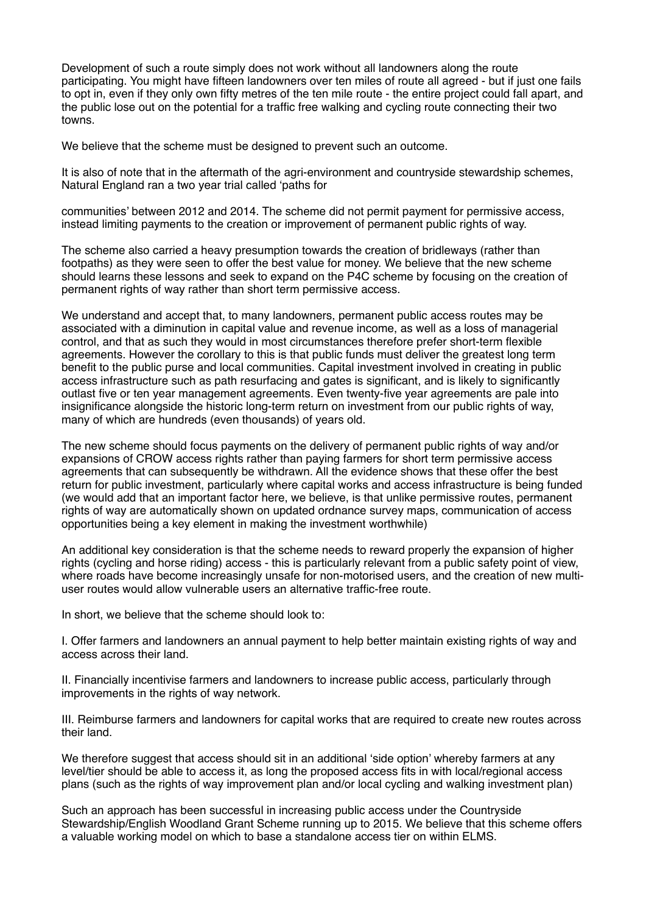Development of such a route simply does not work without all landowners along the route participating. You might have fifteen landowners over ten miles of route all agreed - but if just one fails to opt in, even if they only own fifty metres of the ten mile route - the entire project could fall apart, and the public lose out on the potential for a traffic free walking and cycling route connecting their two towns.

We believe that the scheme must be designed to prevent such an outcome.

It is also of note that in the aftermath of the agri-environment and countryside stewardship schemes, Natural England ran a two year trial called 'paths for

communities' between 2012 and 2014. The scheme did not permit payment for permissive access, instead limiting payments to the creation or improvement of permanent public rights of way.

The scheme also carried a heavy presumption towards the creation of bridleways (rather than footpaths) as they were seen to offer the best value for money. We believe that the new scheme should learns these lessons and seek to expand on the P4C scheme by focusing on the creation of permanent rights of way rather than short term permissive access.

We understand and accept that, to many landowners, permanent public access routes may be associated with a diminution in capital value and revenue income, as well as a loss of managerial control, and that as such they would in most circumstances therefore prefer short-term flexible agreements. However the corollary to this is that public funds must deliver the greatest long term benefit to the public purse and local communities. Capital investment involved in creating in public access infrastructure such as path resurfacing and gates is significant, and is likely to significantly outlast five or ten year management agreements. Even twenty-five year agreements are pale into insignificance alongside the historic long-term return on investment from our public rights of way, many of which are hundreds (even thousands) of years old.

The new scheme should focus payments on the delivery of permanent public rights of way and/or expansions of CROW access rights rather than paying farmers for short term permissive access agreements that can subsequently be withdrawn. All the evidence shows that these offer the best return for public investment, particularly where capital works and access infrastructure is being funded (we would add that an important factor here, we believe, is that unlike permissive routes, permanent rights of way are automatically shown on updated ordnance survey maps, communication of access opportunities being a key element in making the investment worthwhile)

An additional key consideration is that the scheme needs to reward properly the expansion of higher rights (cycling and horse riding) access - this is particularly relevant from a public safety point of view, where roads have become increasingly unsafe for non-motorised users, and the creation of new multiuser routes would allow vulnerable users an alternative traffic-free route.

In short, we believe that the scheme should look to:

I. Offer farmers and landowners an annual payment to help better maintain existing rights of way and access across their land.

II. Financially incentivise farmers and landowners to increase public access, particularly through improvements in the rights of way network.

III. Reimburse farmers and landowners for capital works that are required to create new routes across their land.

We therefore suggest that access should sit in an additional 'side option' whereby farmers at any level/tier should be able to access it, as long the proposed access fits in with local/regional access plans (such as the rights of way improvement plan and/or local cycling and walking investment plan)

Such an approach has been successful in increasing public access under the Countryside Stewardship/English Woodland Grant Scheme running up to 2015. We believe that this scheme offers a valuable working model on which to base a standalone access tier on within ELMS.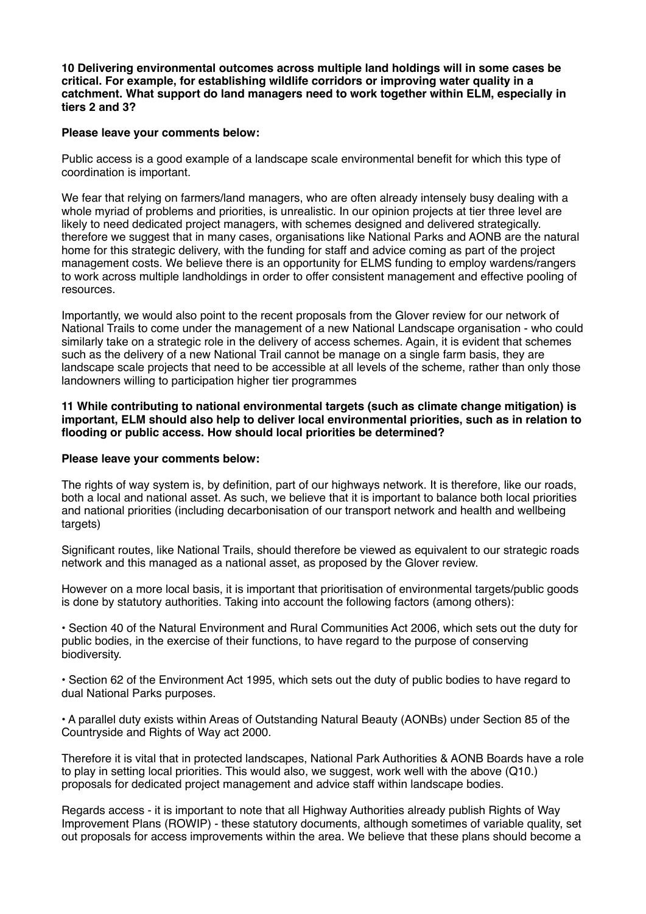**10 Delivering environmental outcomes across multiple land holdings will in some cases be critical. For example, for establishing wildlife corridors or improving water quality in a catchment. What support do land managers need to work together within ELM, especially in tiers 2 and 3?** 

#### **Please leave your comments below:**

Public access is a good example of a landscape scale environmental benefit for which this type of coordination is important.

We fear that relying on farmers/land managers, who are often already intensely busy dealing with a whole myriad of problems and priorities, is unrealistic. In our opinion projects at tier three level are likely to need dedicated project managers, with schemes designed and delivered strategically. therefore we suggest that in many cases, organisations like National Parks and AONB are the natural home for this strategic delivery, with the funding for staff and advice coming as part of the project management costs. We believe there is an opportunity for ELMS funding to employ wardens/rangers to work across multiple landholdings in order to offer consistent management and effective pooling of resources.

Importantly, we would also point to the recent proposals from the Glover review for our network of National Trails to come under the management of a new National Landscape organisation - who could similarly take on a strategic role in the delivery of access schemes. Again, it is evident that schemes such as the delivery of a new National Trail cannot be manage on a single farm basis, they are landscape scale projects that need to be accessible at all levels of the scheme, rather than only those landowners willing to participation higher tier programmes

**11 While contributing to national environmental targets (such as climate change mitigation) is important, ELM should also help to deliver local environmental priorities, such as in relation to flooding or public access. How should local priorities be determined?** 

#### **Please leave your comments below:**

The rights of way system is, by definition, part of our highways network. It is therefore, like our roads, both a local and national asset. As such, we believe that it is important to balance both local priorities and national priorities (including decarbonisation of our transport network and health and wellbeing targets)

Significant routes, like National Trails, should therefore be viewed as equivalent to our strategic roads network and this managed as a national asset, as proposed by the Glover review.

However on a more local basis, it is important that prioritisation of environmental targets/public goods is done by statutory authorities. Taking into account the following factors (among others):

• Section 40 of the Natural Environment and Rural Communities Act 2006, which sets out the duty for public bodies, in the exercise of their functions, to have regard to the purpose of conserving biodiversity.

• Section 62 of the Environment Act 1995, which sets out the duty of public bodies to have regard to dual National Parks purposes.

• A parallel duty exists within Areas of Outstanding Natural Beauty (AONBs) under Section 85 of the Countryside and Rights of Way act 2000.

Therefore it is vital that in protected landscapes, National Park Authorities & AONB Boards have a role to play in setting local priorities. This would also, we suggest, work well with the above (Q10.) proposals for dedicated project management and advice staff within landscape bodies.

Regards access - it is important to note that all Highway Authorities already publish Rights of Way Improvement Plans (ROWIP) - these statutory documents, although sometimes of variable quality, set out proposals for access improvements within the area. We believe that these plans should become a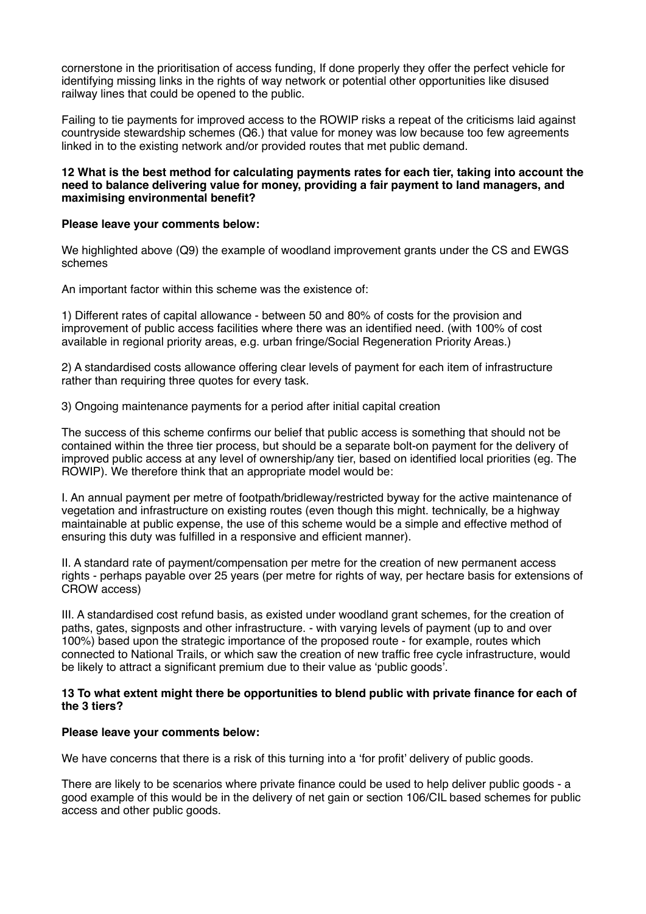cornerstone in the prioritisation of access funding, If done properly they offer the perfect vehicle for identifying missing links in the rights of way network or potential other opportunities like disused railway lines that could be opened to the public.

Failing to tie payments for improved access to the ROWIP risks a repeat of the criticisms laid against countryside stewardship schemes (Q6.) that value for money was low because too few agreements linked in to the existing network and/or provided routes that met public demand.

#### **12 What is the best method for calculating payments rates for each tier, taking into account the need to balance delivering value for money, providing a fair payment to land managers, and maximising environmental benefit?**

## **Please leave your comments below:**

We highlighted above (Q9) the example of woodland improvement grants under the CS and EWGS schemes

An important factor within this scheme was the existence of:

1) Different rates of capital allowance - between 50 and 80% of costs for the provision and improvement of public access facilities where there was an identified need. (with 100% of cost available in regional priority areas, e.g. urban fringe/Social Regeneration Priority Areas.)

2) A standardised costs allowance offering clear levels of payment for each item of infrastructure rather than requiring three quotes for every task.

3) Ongoing maintenance payments for a period after initial capital creation

The success of this scheme confirms our belief that public access is something that should not be contained within the three tier process, but should be a separate bolt-on payment for the delivery of improved public access at any level of ownership/any tier, based on identified local priorities (eg. The ROWIP). We therefore think that an appropriate model would be:

I. An annual payment per metre of footpath/bridleway/restricted byway for the active maintenance of vegetation and infrastructure on existing routes (even though this might. technically, be a highway maintainable at public expense, the use of this scheme would be a simple and effective method of ensuring this duty was fulfilled in a responsive and efficient manner).

II. A standard rate of payment/compensation per metre for the creation of new permanent access rights - perhaps payable over 25 years (per metre for rights of way, per hectare basis for extensions of CROW access)

III. A standardised cost refund basis, as existed under woodland grant schemes, for the creation of paths, gates, signposts and other infrastructure. - with varying levels of payment (up to and over 100%) based upon the strategic importance of the proposed route - for example, routes which connected to National Trails, or which saw the creation of new traffic free cycle infrastructure, would be likely to attract a significant premium due to their value as 'public goods'.

#### **13 To what extent might there be opportunities to blend public with private finance for each of the 3 tiers?**

#### **Please leave your comments below:**

We have concerns that there is a risk of this turning into a 'for profit' delivery of public goods.

There are likely to be scenarios where private finance could be used to help deliver public goods - a good example of this would be in the delivery of net gain or section 106/CIL based schemes for public access and other public goods.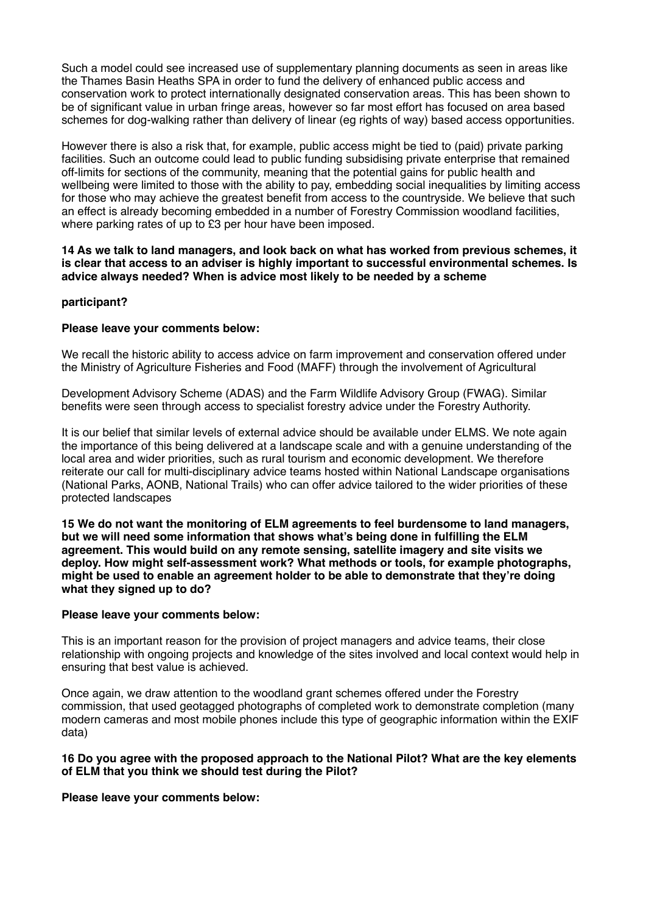Such a model could see increased use of supplementary planning documents as seen in areas like the Thames Basin Heaths SPA in order to fund the delivery of enhanced public access and conservation work to protect internationally designated conservation areas. This has been shown to be of significant value in urban fringe areas, however so far most effort has focused on area based schemes for dog-walking rather than delivery of linear (eg rights of way) based access opportunities.

However there is also a risk that, for example, public access might be tied to (paid) private parking facilities. Such an outcome could lead to public funding subsidising private enterprise that remained off-limits for sections of the community, meaning that the potential gains for public health and wellbeing were limited to those with the ability to pay, embedding social inequalities by limiting access for those who may achieve the greatest benefit from access to the countryside. We believe that such an effect is already becoming embedded in a number of Forestry Commission woodland facilities, where parking rates of up to £3 per hour have been imposed.

**14 As we talk to land managers, and look back on what has worked from previous schemes, it is clear that access to an adviser is highly important to successful environmental schemes. Is advice always needed? When is advice most likely to be needed by a scheme** 

#### **participant?**

#### **Please leave your comments below:**

We recall the historic ability to access advice on farm improvement and conservation offered under the Ministry of Agriculture Fisheries and Food (MAFF) through the involvement of Agricultural

Development Advisory Scheme (ADAS) and the Farm Wildlife Advisory Group (FWAG). Similar benefits were seen through access to specialist forestry advice under the Forestry Authority.

It is our belief that similar levels of external advice should be available under ELMS. We note again the importance of this being delivered at a landscape scale and with a genuine understanding of the local area and wider priorities, such as rural tourism and economic development. We therefore reiterate our call for multi-disciplinary advice teams hosted within National Landscape organisations (National Parks, AONB, National Trails) who can offer advice tailored to the wider priorities of these protected landscapes

**15 We do not want the monitoring of ELM agreements to feel burdensome to land managers, but we will need some information that shows what's being done in fulfilling the ELM agreement. This would build on any remote sensing, satellite imagery and site visits we deploy. How might self-assessment work? What methods or tools, for example photographs, might be used to enable an agreement holder to be able to demonstrate that they're doing what they signed up to do?** 

#### **Please leave your comments below:**

This is an important reason for the provision of project managers and advice teams, their close relationship with ongoing projects and knowledge of the sites involved and local context would help in ensuring that best value is achieved.

Once again, we draw attention to the woodland grant schemes offered under the Forestry commission, that used geotagged photographs of completed work to demonstrate completion (many modern cameras and most mobile phones include this type of geographic information within the EXIF data)

#### **16 Do you agree with the proposed approach to the National Pilot? What are the key elements of ELM that you think we should test during the Pilot?**

#### **Please leave your comments below:**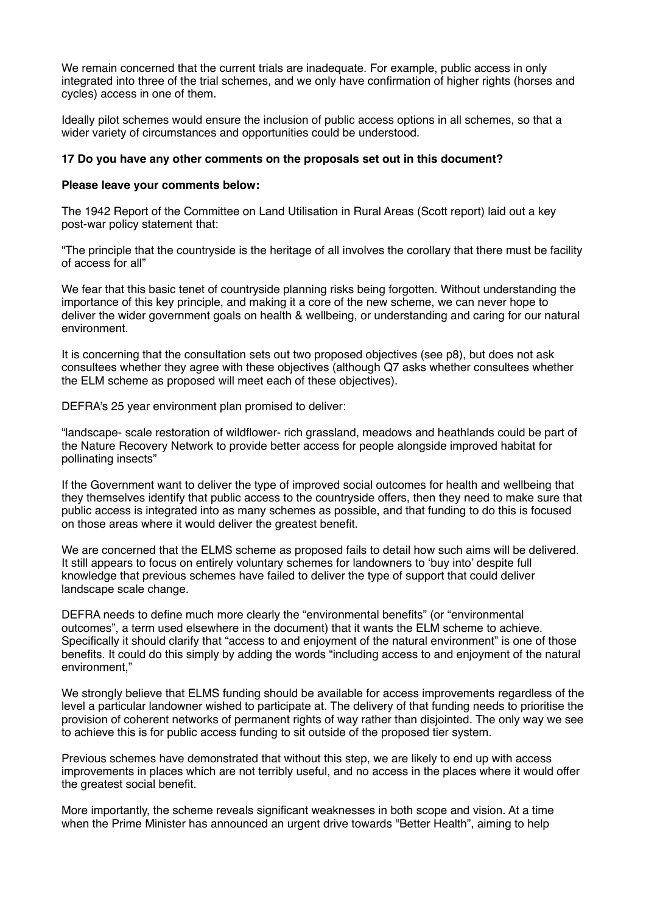We remain concerned that the current trials are inadequate. For example, public access in only integrated into three of the trial schemes, and we only have confirmation of higher rights (horses and cycles) access in one of them.

Ideally pilot schemes would ensure the inclusion of public access options in all schemes, so that a wider variety of circumstances and opportunities could be understood.

## **17 Do you have any other comments on the proposals set out in this document?**

#### **Please leave your comments below:**

The 1942 Report of the Committee on Land Utilisation in Rural Areas (Scott report) laid out a key post-war policy statement that:

"The principle that the countryside is the heritage of all involves the corollary that there must be facility of access for all"

We fear that this basic tenet of countryside planning risks being forgotten. Without understanding the importance of this key principle, and making it a core of the new scheme, we can never hope to deliver the wider government goals on health & wellbeing, or understanding and caring for our natural environment.

It is concerning that the consultation sets out two proposed objectives (see p8), but does not ask consultees whether they agree with these objectives (although Q7 asks whether consultees whether the ELM scheme as proposed will meet each of these objectives).

DEFRA's 25 year environment plan promised to deliver:

"landscape- scale restoration of wildflower- rich grassland, meadows and heathlands could be part of the Nature Recovery Network to provide better access for people alongside improved habitat for pollinating insects"

If the Government want to deliver the type of improved social outcomes for health and wellbeing that they themselves identify that public access to the countryside offers, then they need to make sure that public access is integrated into as many schemes as possible, and that funding to do this is focused on those areas where it would deliver the greatest benefit.

We are concerned that the ELMS scheme as proposed fails to detail how such aims will be delivered. It still appears to focus on entirely voluntary schemes for landowners to 'buy into' despite full knowledge that previous schemes have failed to deliver the type of support that could deliver landscape scale change.

DEFRA needs to define much more clearly the "environmental benefits" (or "environmental outcomes", a term used elsewhere in the document) that it wants the ELM scheme to achieve. Specifically it should clarify that "access to and enjoyment of the natural environment" is one of those benefits. It could do this simply by adding the words "including access to and enjoyment of the natural environment,"

We strongly believe that ELMS funding should be available for access improvements regardless of the level a particular landowner wished to participate at. The delivery of that funding needs to prioritise the provision of coherent networks of permanent rights of way rather than disjointed. The only way we see to achieve this is for public access funding to sit outside of the proposed tier system.

Previous schemes have demonstrated that without this step, we are likely to end up with access improvements in places which are not terribly useful, and no access in the places where it would offer the greatest social benefit.

More importantly, the scheme reveals significant weaknesses in both scope and vision. At a time when the Prime Minister has announced an urgent drive towards "Better Health", aiming to help